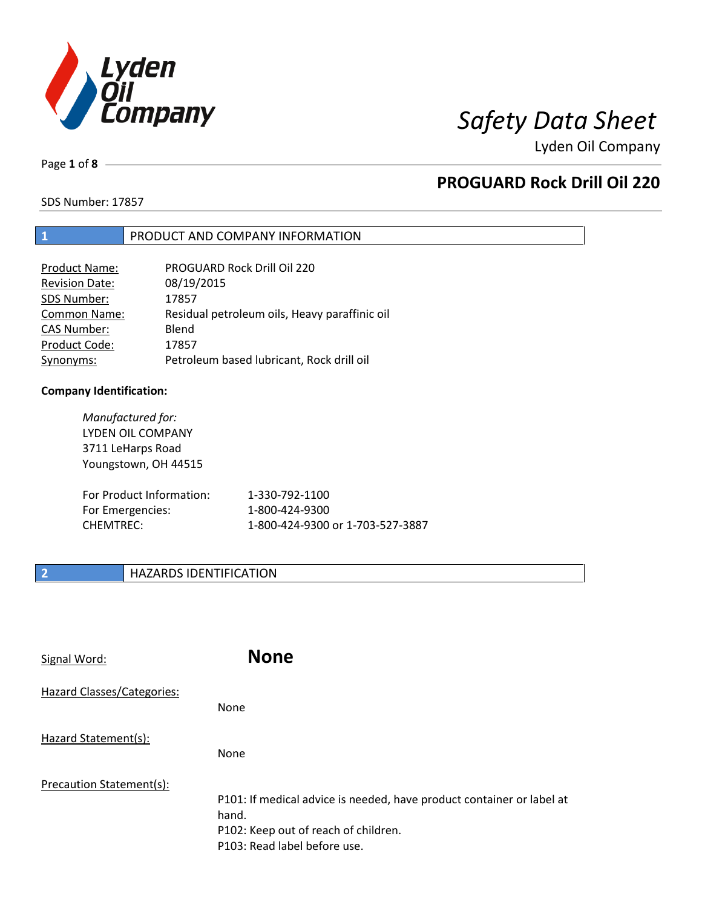

Page **1** of **8**

## **PROGUARD Rock Drill Oil 220**

SDS Number: 17857

### **1** PRODUCT AND COMPANY INFORMATION

| <b>Product Name:</b>  | PROGUARD Rock Drill Oil 220                   |
|-----------------------|-----------------------------------------------|
| <b>Revision Date:</b> | 08/19/2015                                    |
| SDS Number:           | 17857                                         |
| <b>Common Name:</b>   | Residual petroleum oils, Heavy paraffinic oil |
| <b>CAS Number:</b>    | Blend                                         |
| Product Code:         | 17857                                         |
| Synonyms:             | Petroleum based lubricant, Rock drill oil     |

### **Company Identification:**

*Manufactured for:* LYDEN OIL COMPANY 3711 LeHarps Road Youngstown, OH 44515 For Product Information: 1-330-792-1100 For Emergencies: 1-800-424-9300 CHEMTREC: 1-800-424-9300 or 1-703-527-3887

## **2 HAZARDS IDENTIFICATION**

| Signal Word:               | <b>None</b>                                                                                                                                            |
|----------------------------|--------------------------------------------------------------------------------------------------------------------------------------------------------|
| Hazard Classes/Categories: | <b>None</b>                                                                                                                                            |
| Hazard Statement(s):       | None                                                                                                                                                   |
| Precaution Statement(s):   | P101: If medical advice is needed, have product container or label at<br>hand.<br>P102: Keep out of reach of children.<br>P103: Read label before use. |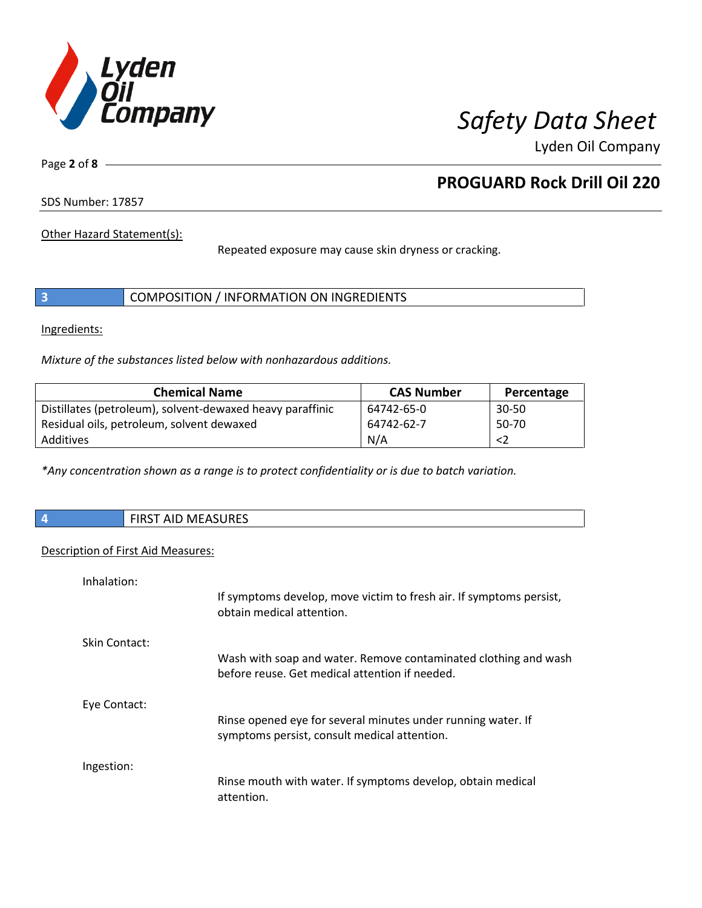

Page **2** of **8**

## **PROGUARD Rock Drill Oil 220**

SDS Number: 17857

Other Hazard Statement(s):

Repeated exposure may cause skin dryness or cracking.

|  |  | COMPOSITION / INFORMATION ON INGREDIENTS |
|--|--|------------------------------------------|
|--|--|------------------------------------------|

Ingredients:

*Mixture of the substances listed below with nonhazardous additions.*

| <b>Chemical Name</b>                                      | <b>CAS Number</b> | Percentage |
|-----------------------------------------------------------|-------------------|------------|
| Distillates (petroleum), solvent-dewaxed heavy paraffinic | 64742-65-0        | $30 - 50$  |
| Residual oils, petroleum, solvent dewaxed                 | 64742-62-7        | $50-70$    |
| Additives                                                 | N/A               |            |

*\*Any concentration shown as a range is to protect confidentiality or is due to batch variation.*

| <b>FIRST AID MEASURES</b> |
|---------------------------|
|                           |

### Description of First Aid Measures:

| Inhalation:   |                                                                                                                   |
|---------------|-------------------------------------------------------------------------------------------------------------------|
|               | If symptoms develop, move victim to fresh air. If symptoms persist,<br>obtain medical attention.                  |
| Skin Contact: |                                                                                                                   |
|               | Wash with soap and water. Remove contaminated clothing and wash<br>before reuse. Get medical attention if needed. |
| Eye Contact:  |                                                                                                                   |
|               | Rinse opened eye for several minutes under running water. If<br>symptoms persist, consult medical attention.      |
| Ingestion:    |                                                                                                                   |
|               | Rinse mouth with water. If symptoms develop, obtain medical<br>attention.                                         |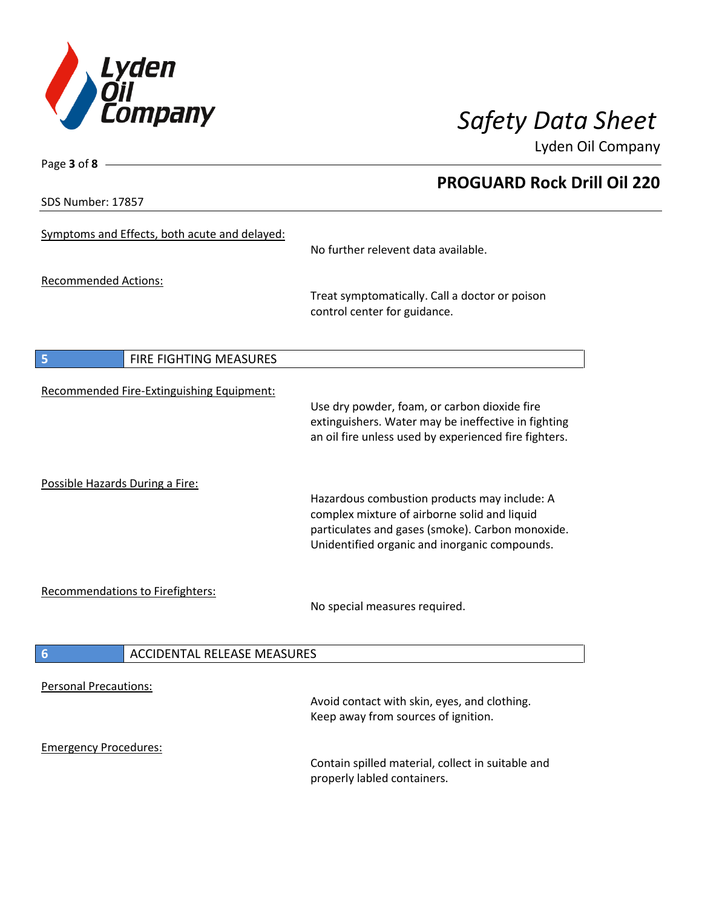

**PROGUARD Rock Drill Oil 220**

Lyden Oil Company

SDS Number: 17857

Page **3** of **8**

| Symptoms and Effects, both acute and delayed:         | No further relevent data available.                                                                                                                                                               |
|-------------------------------------------------------|---------------------------------------------------------------------------------------------------------------------------------------------------------------------------------------------------|
| <b>Recommended Actions:</b>                           | Treat symptomatically. Call a doctor or poison<br>control center for guidance.                                                                                                                    |
| 5<br>FIRE FIGHTING MEASURES                           |                                                                                                                                                                                                   |
| Recommended Fire-Extinguishing Equipment:             | Use dry powder, foam, or carbon dioxide fire<br>extinguishers. Water may be ineffective in fighting<br>an oil fire unless used by experienced fire fighters.                                      |
| Possible Hazards During a Fire:                       | Hazardous combustion products may include: A<br>complex mixture of airborne solid and liquid<br>particulates and gases (smoke). Carbon monoxide.<br>Unidentified organic and inorganic compounds. |
| <b>Recommendations to Firefighters:</b>               | No special measures required.                                                                                                                                                                     |
| $6\phantom{1}6$<br><b>ACCIDENTAL RELEASE MEASURES</b> |                                                                                                                                                                                                   |
| <b>Personal Precautions:</b>                          | Avoid contact with skin, eyes, and clothing.<br>Keep away from sources of ignition.                                                                                                               |
| <b>Emergency Procedures:</b>                          | Contain spilled material, collect in suitable and<br>properly labled containers.                                                                                                                  |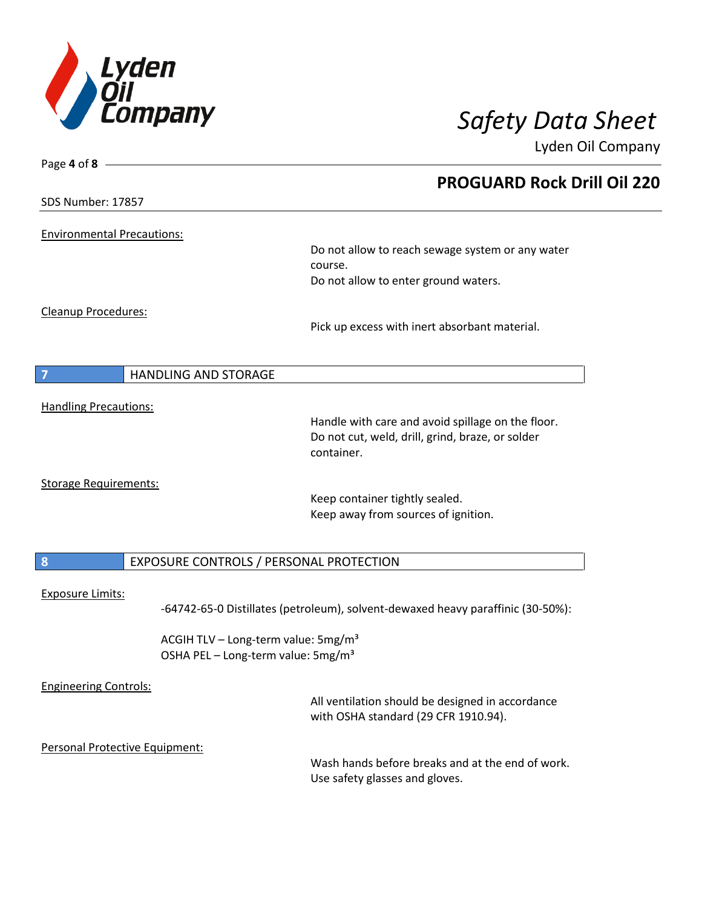

| Page 4 of 8 -                                 |                                                                                          |
|-----------------------------------------------|------------------------------------------------------------------------------------------|
|                                               | <b>PROGUARD Rock Drill Oil 220</b>                                                       |
| SDS Number: 17857                             |                                                                                          |
| <b>Environmental Precautions:</b>             |                                                                                          |
|                                               | Do not allow to reach sewage system or any water                                         |
|                                               | course.                                                                                  |
|                                               | Do not allow to enter ground waters.                                                     |
| Cleanup Procedures:                           |                                                                                          |
|                                               | Pick up excess with inert absorbant material.                                            |
|                                               |                                                                                          |
| <b>HANDLING AND STORAGE</b><br>$\overline{7}$ |                                                                                          |
| <b>Handling Precautions:</b>                  |                                                                                          |
|                                               | Handle with care and avoid spillage on the floor.                                        |
|                                               | Do not cut, weld, drill, grind, braze, or solder<br>container.                           |
| <b>Storage Requirements:</b>                  |                                                                                          |
|                                               | Keep container tightly sealed.                                                           |
|                                               | Keep away from sources of ignition.                                                      |
| $\boldsymbol{8}$                              | EXPOSURE CONTROLS / PERSONAL PROTECTION                                                  |
|                                               |                                                                                          |
| <b>Exposure Limits:</b>                       | -64742-65-0 Distillates (petroleum), solvent-dewaxed heavy paraffinic (30-50%):          |
|                                               | ACGIH TLV - Long-term value: 5mg/m <sup>3</sup>                                          |
|                                               | OSHA PEL - Long-term value: 5mg/m <sup>3</sup>                                           |
| <b>Engineering Controls:</b>                  |                                                                                          |
|                                               | All ventilation should be designed in accordance<br>with OSHA standard (29 CFR 1910.94). |
|                                               |                                                                                          |
| Personal Protective Equipment:                | Wash hands before breaks and at the end of work.                                         |
|                                               | Use safety glasses and gloves.                                                           |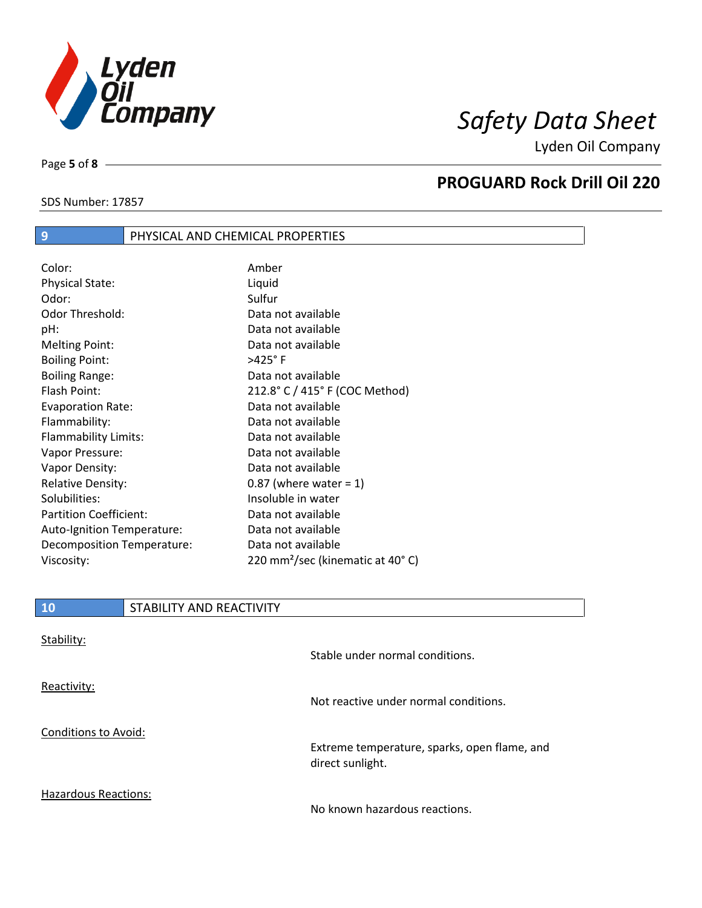

SDS Number: 17857

Page **5** of **8**

## **PROGUARD Rock Drill Oil 220**

# **9 PHYSICAL AND CHEMICAL PROPERTIES**

| Color:                        | Amber                                        |
|-------------------------------|----------------------------------------------|
| <b>Physical State:</b>        | Liquid                                       |
| Odor:                         | Sulfur                                       |
| <b>Odor Threshold:</b>        | Data not available                           |
| pH:                           | Data not available                           |
| <b>Melting Point:</b>         | Data not available                           |
| <b>Boiling Point:</b>         | >425°F                                       |
| <b>Boiling Range:</b>         | Data not available                           |
| Flash Point:                  | 212.8° C / 415° F (COC Method)               |
| <b>Evaporation Rate:</b>      | Data not available                           |
| Flammability:                 | Data not available                           |
| Flammability Limits:          | Data not available                           |
| Vapor Pressure:               | Data not available                           |
| Vapor Density:                | Data not available                           |
| <b>Relative Density:</b>      | $0.87$ (where water = 1)                     |
| Solubilities:                 | Insoluble in water                           |
| <b>Partition Coefficient:</b> | Data not available                           |
| Auto-Ignition Temperature:    | Data not available                           |
| Decomposition Temperature:    | Data not available                           |
| Viscosity:                    | 220 mm <sup>2</sup> /sec (kinematic at 40°C) |

| 10                          | STABILITY AND REACTIVITY |                                              |
|-----------------------------|--------------------------|----------------------------------------------|
| Stability:                  |                          | Stable under normal conditions.              |
| Reactivity:                 |                          | Not reactive under normal conditions.        |
| <b>Conditions to Avoid:</b> |                          | Extreme temperature, sparks, open flame, and |
|                             |                          | direct sunlight.                             |

Hazardous Reactions:

No known hazardous reactions.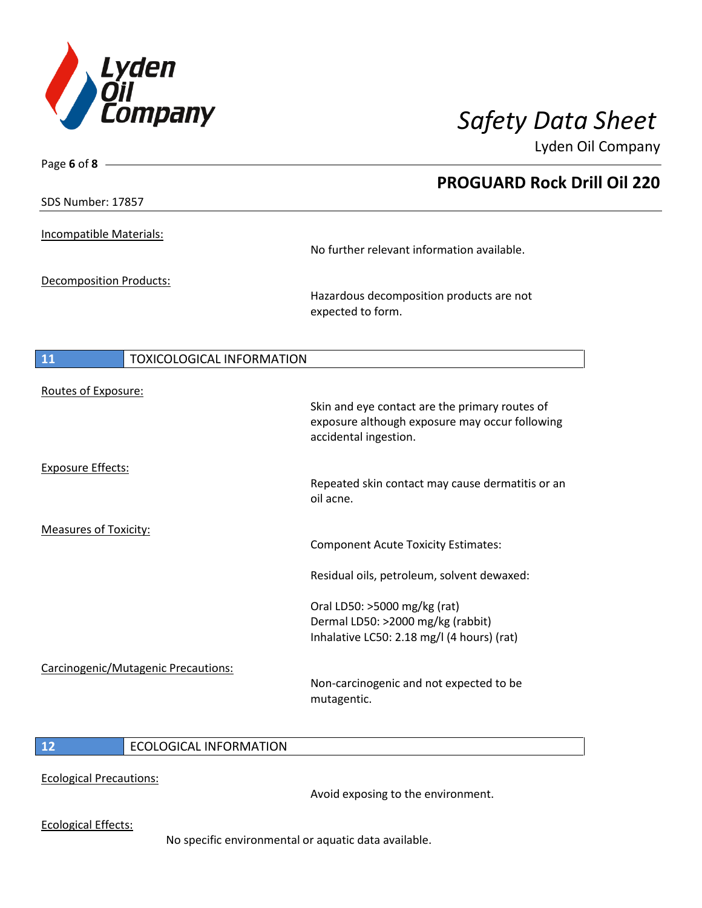

| Page 6 of 8 $-$                           |                                                                                                                           |
|-------------------------------------------|---------------------------------------------------------------------------------------------------------------------------|
|                                           | <b>PROGUARD Rock Drill Oil 220</b>                                                                                        |
| SDS Number: 17857                         |                                                                                                                           |
| Incompatible Materials:                   |                                                                                                                           |
|                                           | No further relevant information available.                                                                                |
| Decomposition Products:                   |                                                                                                                           |
|                                           | Hazardous decomposition products are not<br>expected to form.                                                             |
| $\boxed{11}$<br>TOXICOLOGICAL INFORMATION |                                                                                                                           |
| Routes of Exposure:                       |                                                                                                                           |
|                                           | Skin and eye contact are the primary routes of<br>exposure although exposure may occur following<br>accidental ingestion. |
| <b>Exposure Effects:</b>                  |                                                                                                                           |
|                                           | Repeated skin contact may cause dermatitis or an<br>oil acne.                                                             |
| <b>Measures of Toxicity:</b>              |                                                                                                                           |
|                                           | <b>Component Acute Toxicity Estimates:</b>                                                                                |
|                                           | Residual oils, petroleum, solvent dewaxed:                                                                                |
|                                           | Oral LD50: >5000 mg/kg (rat)                                                                                              |
|                                           | Dermal LD50: >2000 mg/kg (rabbit)<br>Inhalative LC50: 2.18 mg/l (4 hours) (rat)                                           |
|                                           |                                                                                                                           |
| Carcinogenic/Mutagenic Precautions:       | Non-carcinogenic and not expected to be<br>mutagentic.                                                                    |
|                                           |                                                                                                                           |

## **12** ECOLOGICAL INFORMATION

Ecological Precautions:

Avoid exposing to the environment.

Ecological Effects:

No specific environmental or aquatic data available.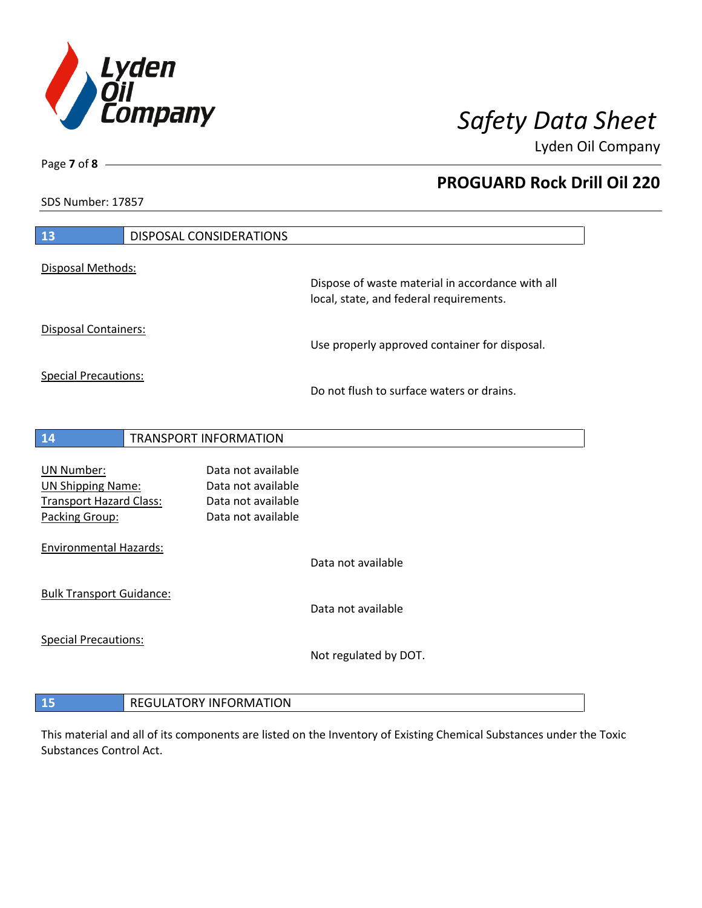

**PROGUARD Rock Drill Oil 220**

Lyden Oil Company

SDS Number: 17857

Page **7** of **8**

| 13                                                         | DISPOSAL CONSIDERATIONS |                                          |                                                  |
|------------------------------------------------------------|-------------------------|------------------------------------------|--------------------------------------------------|
| Disposal Methods:                                          |                         |                                          | Dispose of waste material in accordance with all |
|                                                            |                         |                                          | local, state, and federal requirements.          |
| <b>Disposal Containers:</b>                                |                         |                                          | Use properly approved container for disposal.    |
| <b>Special Precautions:</b>                                |                         |                                          | Do not flush to surface waters or drains.        |
| 14                                                         |                         | <b>TRANSPORT INFORMATION</b>             |                                                  |
|                                                            |                         |                                          |                                                  |
| <b>UN Number:</b>                                          |                         | Data not available<br>Data not available |                                                  |
| <b>UN Shipping Name:</b><br><b>Transport Hazard Class:</b> |                         | Data not available                       |                                                  |
| Packing Group:                                             |                         | Data not available                       |                                                  |
| <b>Environmental Hazards:</b>                              |                         |                                          |                                                  |
|                                                            |                         |                                          | Data not available                               |
| <b>Bulk Transport Guidance:</b>                            |                         |                                          | Data not available                               |
|                                                            |                         |                                          |                                                  |
| <b>Special Precautions:</b>                                |                         |                                          | Not regulated by DOT.                            |
|                                                            |                         |                                          |                                                  |

## **15** REGULATORY INFORMATION

This material and all of its components are listed on the Inventory of Existing Chemical Substances under the Toxic Substances Control Act.